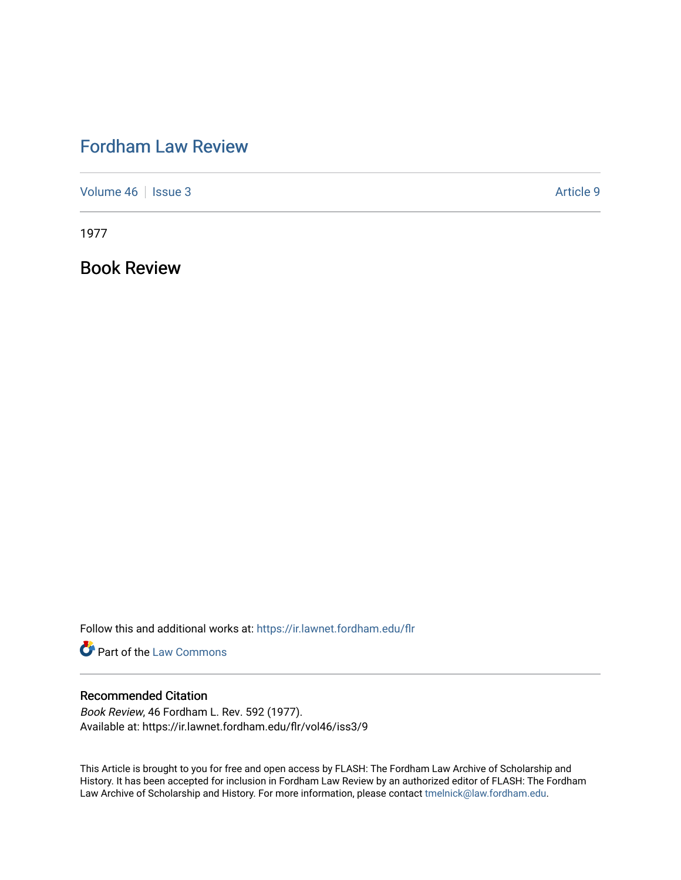## [Fordham Law Review](https://ir.lawnet.fordham.edu/flr)

[Volume 46](https://ir.lawnet.fordham.edu/flr/vol46) | [Issue 3](https://ir.lawnet.fordham.edu/flr/vol46/iss3) Article 9

1977

Book Review

Follow this and additional works at: [https://ir.lawnet.fordham.edu/flr](https://ir.lawnet.fordham.edu/flr?utm_source=ir.lawnet.fordham.edu%2Fflr%2Fvol46%2Fiss3%2F9&utm_medium=PDF&utm_campaign=PDFCoverPages)

**Part of the [Law Commons](http://network.bepress.com/hgg/discipline/578?utm_source=ir.lawnet.fordham.edu%2Fflr%2Fvol46%2Fiss3%2F9&utm_medium=PDF&utm_campaign=PDFCoverPages)** 

## Recommended Citation

Book Review, 46 Fordham L. Rev. 592 (1977). Available at: https://ir.lawnet.fordham.edu/flr/vol46/iss3/9

This Article is brought to you for free and open access by FLASH: The Fordham Law Archive of Scholarship and History. It has been accepted for inclusion in Fordham Law Review by an authorized editor of FLASH: The Fordham Law Archive of Scholarship and History. For more information, please contact [tmelnick@law.fordham.edu](mailto:tmelnick@law.fordham.edu).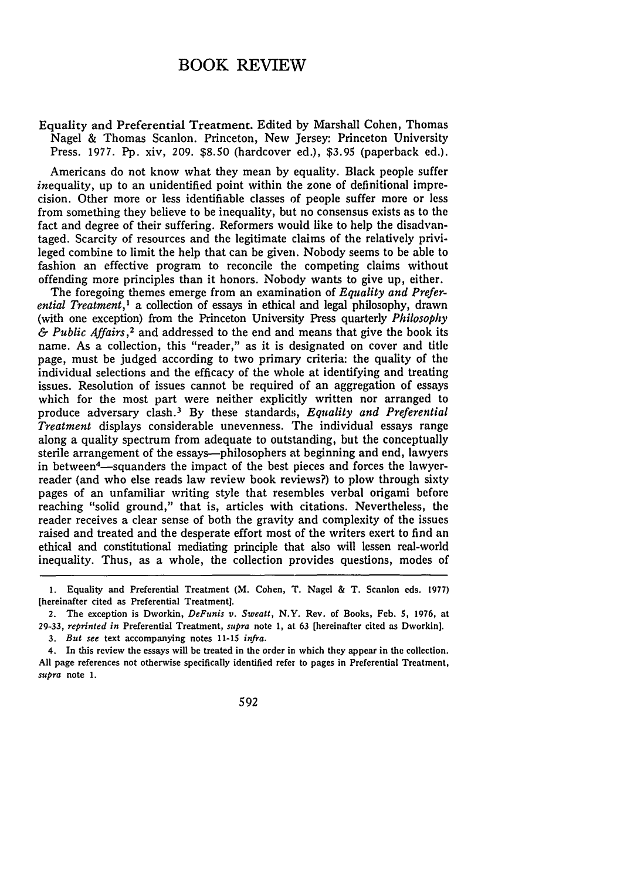## BOOK REVIEW

Equality and Preferential Treatment. Edited by Marshall Cohen, Thomas Nagel & Thomas Scanlon. Princeton, New Jersey: Princeton University Press. 1977. Pp. xiv, 209. \$8.50 (hardcover ed.), \$3.95 (paperback ed.).

Americans do not know what they mean by equality. Black people suffer inequality, up to an unidentified point within the zone of definitional imprecision. Other more or less identifiable classes of people suffer more or less from something they believe to be inequality, but no consensus exists as to the fact and degree of their suffering. Reformers would like to help the disadvantaged. Scarcity of resources and the legitimate claims of the relatively privileged combine to limit the help that can be given. Nobody seems to be able to fashion an effective program to reconcile the competing claims without offending more principles than it honors. Nobody wants to give up, either.

The foregoing themes emerge from an examination of *Equality and Preferential Treatment,'* a collection of essays in ethical and legal philosophy, drawn (with one exception) from the Princeton University Press quarterly *Philosophy & Public Affairs, <sup>2</sup>*and addressed to the end and means that give the book its name. As a collection, this "reader," as it is designated on cover and title page, must be judged according to two primary criteria: the quality of the individual selections and the efficacy of the whole at identifying and treating issues. Resolution of issues cannot be required of an aggregation of essays which for the most part were neither explicitly written nor arranged to produce adversary clash. <sup>3</sup>**By** these standards, *Equality and Preferential Treatment* displays considerable unevenness. The individual essays range along a quality spectrum from adequate to outstanding, but the conceptually sterile arrangement of the essays--philosophers at beginning and end, lawyers in between<sup>4</sup>—squanders the impact of the best pieces and forces the lawyerreader (and who else reads law review book reviews?) to plow through sixty pages of an unfamiliar writing style that resembles verbal origami before reaching "solid ground," that is, articles with citations. Nevertheless, the reader receives a clear sense of both the gravity and complexity of the issues raised and treated and the desperate effort most of the writers exert to find an ethical and constitutional mediating principle that also will lessen real-world inequality. Thus, as a whole, the collection provides questions, modes of

592

<sup>1.</sup> Equality and Preferential Treatment (M. Cohen, T. Nagel & T. Scanlon eds. 1977) [hereinafter cited as Preferential Treatment].

<sup>2.</sup> The exception is Dworkin, *DeFunis v. Sweatt, N.Y.* Rev. of Books, Feb. **5, 1976,** at 29-33, *reprinted in* Preferential Treatment, *supra* note 1, at **63** [hereinafter cited as Dworkin). *3. But see* text accompanying notes **11-15** *infra.*

<sup>4.</sup> In this review the essays will be treated in the order in which they appear in the collection. All page references not otherwise specifically identified refer to pages in Preferential Treatment, *supra* note 1.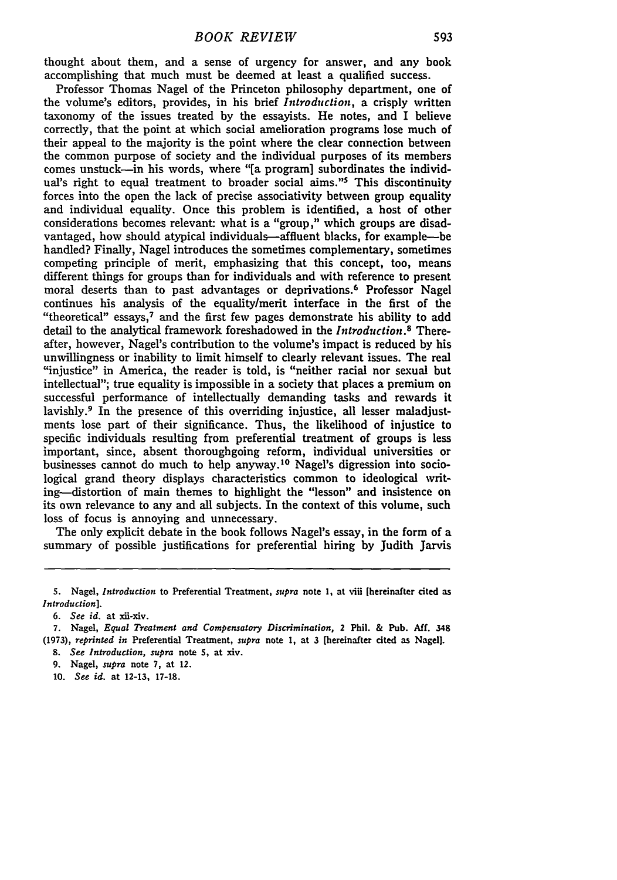thought about them, and a sense of urgency for answer, and any book accomplishing that much must be deemed at least a qualified success.

Professor Thomas Nagel of the Princeton philosophy department, one of the volume's editors, provides, in his brief *Introduction,* a crisply written taxonomy of the issues treated by the essayists. He notes, and I believe correctly, that the point at which social amelioration programs lose much of their appeal to the majority is the point where the clear connection between the common purpose of society and the individual purposes of its members comes unstuck-in his words, where **"[a** program] subordinates the individual's right to equal treatment to broader social aims."<sup>5</sup> This discontinuity forces into the open the lack of precise associativity between group equality and individual equality. Once this problem is identified, a host of other considerations becomes relevant: what is a "group," which groups are disadvantaged, how should atypical individuals-affluent blacks, for example-be handled? Finally, Nagel introduces the sometimes complementary, sometimes competing principle of merit, emphasizing that this concept, too, means different things for groups than for individuals and with reference to present moral deserts than to past advantages or deprivations. 6 Professor Nagel continues his analysis of the equality/merit interface in the first of the "theoretical" essays,<sup>7</sup> and the first few pages demonstrate his ability to add detail to the analytical framework foreshadowed in the *Introduction* . Thereafter, however, Nagel's contribution to the volume's impact is reduced by his unwillingness or inability to limit himself to clearly relevant issues. The real "injustice" in America, the reader is told, is "neither racial nor sexual but intellectual"; true equality is impossible in a society that places a premium on successful performance of intellectually demanding tasks and rewards it lavishly.9 In the presence of this overriding injustice, all lesser maladjustments lose part of their significance. Thus, the likelihood of injustice to specific individuals resulting from preferential treatment of groups is less important, since, absent thoroughgoing reform, individual universities or businesses cannot do much to help anyway. 10 Nagel's digression into sociological grand theory displays characteristics common to ideological writing--distortion of main themes to highlight the "lesson" and insistence on its own relevance to any and all subjects. In the context of this volume, such loss of focus is annoying and unnecessary.

The only explicit debate in the book follows Nagel's essay, in the form of a summary of possible justifications for preferential hiring by Judith Jarvis

*6. See id.* at xii-xiv.

**<sup>5.</sup>** Nagel, *Introduction* to Preferential Treatment, *supra* note **1,** at **viii [hereinafter cited as** *Introduction].*

**<sup>7.</sup>** Nagel, *Equal Treatment and Compensatory Discrimination,* 2 **Phil. &** Pub. **Aff.** 348 **(1973),** *reprinted in* Preferential Treatment, *supra* note **1,** at **3** [hereinafter cited as Nagel]. *8. See Introduction, supra* note **5,** at xiv.

*<sup>9.</sup>* Nagel, *supra* note **7,** at 12.

**<sup>10.</sup>** *See id.* at **12-13, 17-18.**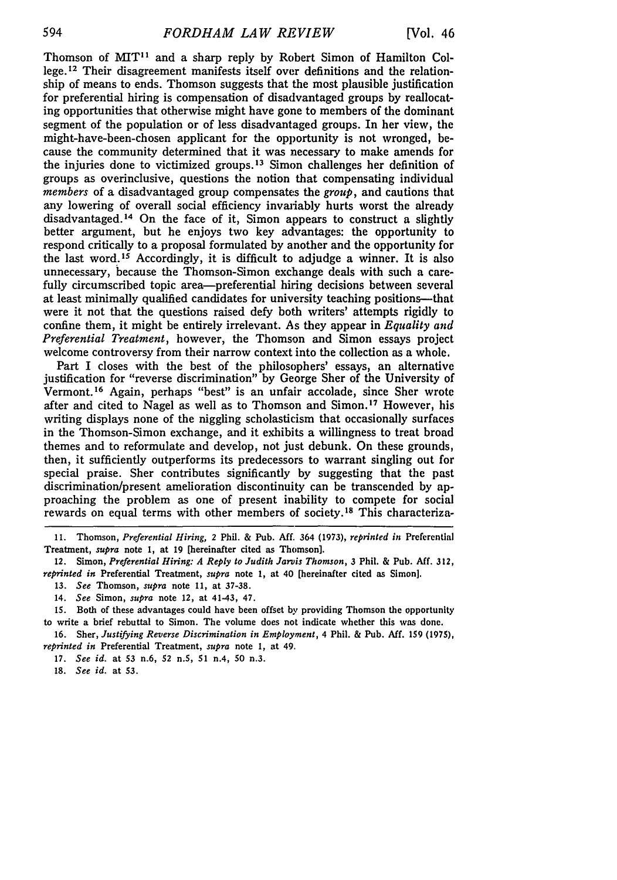Thomson of MIT<sup>11</sup> and a sharp reply by Robert Simon of Hamilton College. 12 Their disagreement manifests itself over definitions and the relationship of means to ends. Thomson suggests that the most plausible justification for preferential hiring is compensation of disadvantaged groups by reallocating opportunities that otherwise might have gone to members of the dominant segment of the population or of less disadvantaged groups. In her view, the might-have-been-chosen applicant for the opportunity is not wronged, because the community determined that it was necessary to make amends for the injuries done to victimized groups. 13 Simon challenges her definition of groups as overinclusive, questions the notion that compensating individual *members* of a disadvantaged group compensates the *group,* and cautions that any lowering of overall social efficiency invariably hurts worst the already disadvantaged. 14 On the face of it, Simon appears to construct a slightly better argument, but he enjoys two key advantages: the opportunity to respond critically to a proposal formulated by another and the opportunity for the last word.15 Accordingly, it is difficult to adjudge a winner. It is also unnecessary, because the Thomson-Simon exchange deals with such a carefully circumscribed topic area-preferential hiring decisions between several at least minimally qualified candidates for university teaching positions—that were it not that the questions raised defy both writers' attempts rigidly to confine them, it might be entirely irrelevant. As they appear in *Equality and Preferential Treatment,* however, the Thomson and Simon essays project welcome controversy from their narrow context into the collection as a whole.

Part I closes with the best of the philosophers' essays, an alternative justification for "reverse discrimination" by George Sher of the University of Vermont.16 Again, perhaps "best" is an unfair accolade, since Sher wrote after and cited to Nagel as well as to Thomson and Simon. 17 However, his writing displays none of the niggling scholasticism that occasionally surfaces in the Thomson-Simon exchange, and it exhibits a willingness to treat broad themes and to reformulate and develop, not just debunk. On these grounds, then, it sufficiently outperforms its predecessors to warrant singling out for special praise. Sher contributes significantly by suggesting that the past discrimination/present amelioration discontinuity can be transcended by approaching the problem as one of present inability to compete for social rewards on equal terms with other members of society.<sup>18</sup> This characteriza-

11. Thomson, *Preferential Hiring, 2* Phil. & Pub. **Aff.** 364 (1973), *reprinted in* Preferential Treatment, *supra* note **1,** at 19 [hereinafter cited as Thomson].

12. Simon, *Preferential Hiring: A Reply to Judith Jarvis Thomson,* 3 Phil. **&** Pub. Aff. **312,** *reprinted in* Preferential Treatment, *supra* note 1, at 40 [hereinafter cited as Simon].

- 13. *See* Thomson, *supra* note **11,** at 37-38.
- 14. *See* Simon, *supra* note 12, at 41-43, 47.

15. Both of these advantages could have been offset by providing Thomson the opportunity to write a brief rebuttal to Simon. The volume does not indicate whether this was done.

16. Sher, *Justifying Reverse Discrimination in Employment,* 4 Phil. & Pub. **Aff.** 159 (1975), *reprinted in* Preferential Treatment, *supra* note **1,** at 49.

17. *See id.* at 53 n.6, 52 n.5, 51 n.4, **50** n.3.

18. *See id.* at **53.**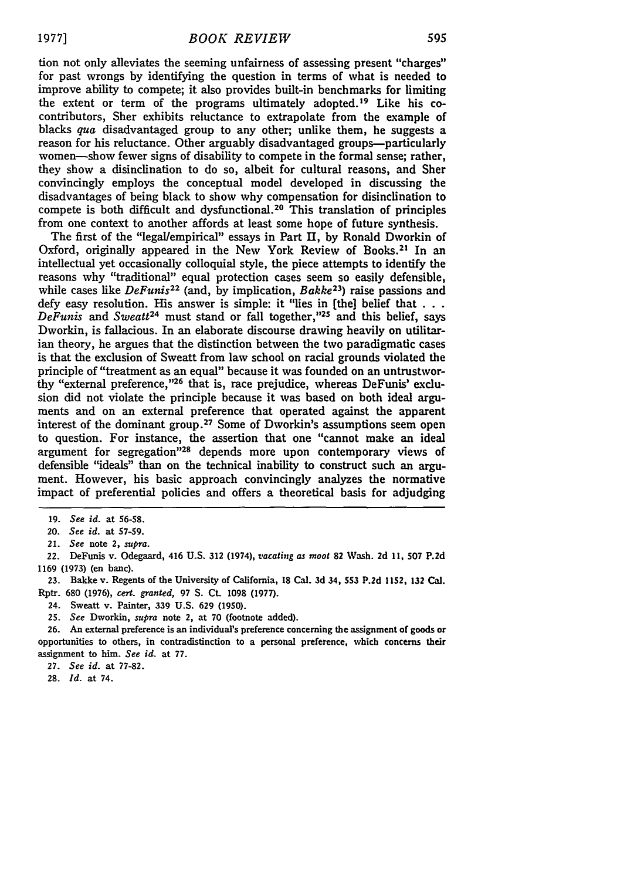tion not only alleviates the seeming unfairness of assessing present "charges" for past wrongs **by** identifying the question in terms of what is needed to improve ability to compete; it also provides built-in benchmarks for limiting the extent or term of the programs ultimately adopted.<sup>19</sup> Like his cocontributors, Sher exhibits reluctance to extrapolate from the example of blacks *qua* disadvantaged group to any other; unlike them, he suggests a reason for his reluctance. Other arguably disadvantaged groups--particularly women-show fewer signs of disability to compete in the formal sense; rather, they show a disinclination to do so, albeit for cultural reasons, and Sher convincingly employs the conceptual model developed in discussing the disadvantages of being black to show why compensation for disinclination to compete is both difficult and dysfunctional. 20 This translation of principles from one context to another affords at least some hope of future synthesis.

The first of the "legal/empirical" essays in Part **II, by** Ronald Dworkin of Oxford, originally appeared in the New York Review of Books.<sup>21</sup> In an intellectual yet occasionally colloquial style, the piece attempts to identify the reasons why "traditional" equal protection cases seem so easily defensible, while cases like *DeFunis*<sup>22</sup> (and, by implication, *Bakke*<sup>23</sup>) raise passions and defy easy resolution. His answer is simple: it "lies in [the] belief that  $\dots$  *DeFunis* and *Sweatt*<sup>24</sup> must stand or fall together,"<sup>25</sup> and this belief, says Dworkin, is fallacious. In an elaborate discourse drawing heavily on utilitarian theory, he argues that the distinction between the two paradigmatic cases is that the exclusion of Sweatt from law school on racial grounds violated the principle of "treatment as an equal" because it was founded on an untrustworthy "external preference,"<sup>26</sup> that is, race prejudice, whereas DeFunis' exclusion did not violate the principle because it was based on both ideal arguments and on an external preference that operated against the apparent interest of the dominant group.<sup>27</sup> Some of Dworkin's assumptions seem open to question. For instance, the assertion that one "cannot make an ideal argument for segregation<sup>"28</sup> depends more upon contemporary views of defensible "ideals" than on the technical inability to construct such an argument. However, his basic approach convincingly analyzes the normative impact of preferential policies and offers a theoretical basis for adjudging

**27.** *See* **id.** at **77-82.**

**28.** *Id.* at 74.

<sup>19.</sup> *See* id. at 56-58.

*<sup>20.</sup> See* id. at 57-59.

<sup>21.</sup> *See* note 2, *supra.*

<sup>22.</sup> DeFunis v. Odegaard, 416 **U.S. 312** (1974), *vacating as moot* **82** Wash. **2d** 11, **507 P.2d** 1169 (1973) (en banc).

**<sup>23.</sup>** Bakke v. Regents of the University of California, **18** Cal. **3d** 34, **553 P.2d 1152, 132** Cal. Rptr. 680 (1976), *cert. granted,* 97 S. Ct. 1098 **(1977).**

<sup>24.</sup> Sweatt v. Painter, **339 U.S. 629** (1950).

**<sup>25.</sup>** *See* Dworkin, *supra* note 2, at 70 (footnote added).

**<sup>26.</sup>** An external preference is an individual's preference concerning the assignment of goods or opportunities to others, in contradistinction to a personal preference, which concerns their assignment to him. *See id.* at **77.**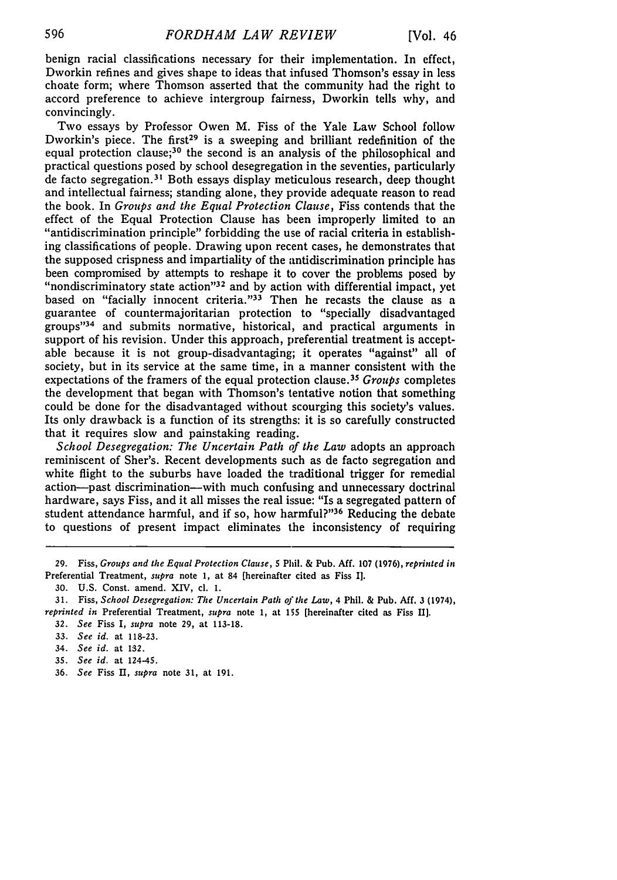benign racial classifications necessary for their implementation. In effect, Dworkin refines and gives shape to ideas that infused Thomson's essay in less choate form; where Thomson asserted that the community had the right to accord preference to achieve intergroup fairness, Dworkin tells why, and convincingly.

Two essays **by** Professor Owen M. Fiss of the Yale Law School follow Dworkin's piece. The first<sup>29</sup> is a sweeping and brilliant redefinition of the equal protection clause;<sup>30</sup> the second is an analysis of the philosophical and practical questions posed **by** school desegregation in the seventies, particularly de facto segregation.<sup>31</sup> Both essays display meticulous research, deep though and intellectual fairness; standing alone, they provide adequate reason to read the book. In *Groups and the Equal Protection Clause,* Fiss contends that the effect of the Equal Protection Clause has been improperly limited to an "antidiscrimination principle" forbidding the use of racial criteria in establishing classifications of people. Drawing upon recent cases, he demonstrates that the supposed crispness and impartiality of the antidiscrimination principle has been compromised **by** attempts to reshape it to cover the problems posed **by** "nondiscriminatory state action" 32 and **by** action with differential impact, yet based on "facially innocent criteria."<sup>33</sup> Then he recasts the clause as a guarantee of countermajoritarian protection to "specially disadvantaged groups"<sup>34</sup> and submits normative, historical, and practical arguments in support of his revision. Under this approach, preferential treatment is acceptable because it is not group-disadvantaging; it operates "against" all of society, but in its service at the same time, in a manner consistent with the expectations of the framers of the equal protection clause. <sup>35</sup>*Groups* completes the development that began with Thomson's tentative notion that something could be done for the disadvantaged without scourging this society's values. Its only drawback is a function of its strengths: it is so carefully constructed that it requires slow and painstaking reading.

*School Desegregation: The Uncertain Path of the Law* adopts an approach reminiscent of Sher's. Recent developments such as de facto segregation and white flight to the suburbs have loaded the traditional trigger for remedial action-past discrimination-with much confusing and unnecessary doctrinal hardware, says Fiss, and it all misses the real issue: "Is a segregated pattern of student attendance harmful, and if so, how harmful?"<sup>36</sup> Reducing the debate to questions of present impact eliminates the inconsistency of requiring

- **35.** *See id.* at 124-45.
- 36. *See* Fiss **I,** *supra* note **31,** at 191.

**<sup>29.</sup>** Fiss, *Groups and the Equal Protection Clause,* **5** Phil. **&** Pub. **Aff. 107 (1976),** reprinted **in** Preferential Treatment, *supra* note 1, at 84 [hereinafter cited as Fiss I].

**<sup>30.</sup>** U.S. Const. amend. XIV, c1. I.

<sup>31.</sup> Fiss, *School Desegregation: The Uncertain Path of the Law,* 4 Phil. **&** Pub. **Aff. 3** (1974), *reprinted in* Preferential Treatment, *supra* note 1, at **155** [hereinafter cited as Fiss IIl.

**<sup>32.</sup>** *See* Fiss I, *supra* note **29,** at 113-18.

**<sup>33.</sup>** *See id.* at 118-23.

<sup>34.</sup> *See id.* at 132.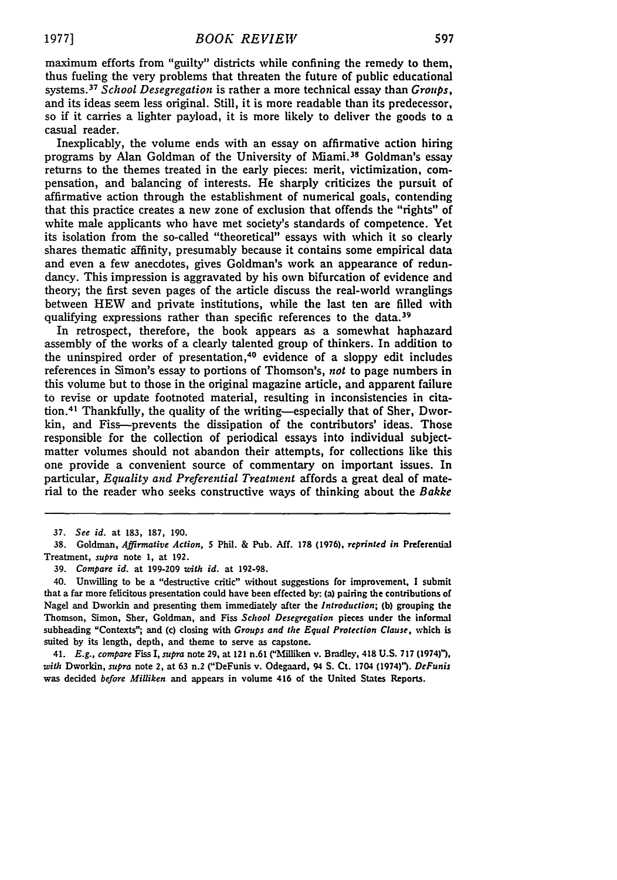maximum efforts from "guilty" districts while confining the remedy to them, thus fueling the very problems that threaten the future of public educational systems. <sup>37</sup>*School Desegregation* is rather a more technical essay than *Groups,* and its ideas seem less original. Still, it is more readable than its predecessor, so if it carries a lighter payload, it is more likely to deliver the goods to a casual reader.

Inexplicably, the volume ends with an essay on affirmative action hiring programs by Alan Goldman of the University of Miami.<sup>38</sup> Goldman's essay returns to the themes treated in the early pieces: merit, victimization, compensation, and balancing of interests. He sharply criticizes the pursuit of affirmative action through the establishment of numerical goals, contending that this practice creates a new zone of exclusion that offends the "rights" of white male applicants who have met society's standards of competence. Yet its isolation from the so-called "theoretical" essays with which it so clearly shares thematic affinity, presumably because it contains some empirical data and even a few anecdotes, gives Goldman's work an appearance of redundancy. This impression is aggravated by his own bifurcation of evidence and theory; the first seven pages of the article discuss the real-world wranglings between HEW and private institutions, while the last ten are filled with qualifying expressions rather than specific references to the data.<sup>39</sup>

In retrospect, therefore, the book appears as a somewhat haphazard assembly of the works of a clearly talented group of thinkers. In addition to the uninspired order of presentation,<sup>40</sup> evidence of a sloppy edit includes references in Simon's essay to portions of Thomson's, *not* to page numbers in this volume but to those in the original magazine article, and apparent failure to revise or update footnoted material, resulting in inconsistencies in citation. 41 Thankfully, the quality of the writing-especially that of Sher, Dworkin, and Fiss--prevents the dissipation of the contributors' ideas. Those responsible for the collection of periodical essays into individual subjectmatter volumes should not abandon their attempts, for collections like this one provide a convenient source of commentary on important issues. In particular, *Equality and Preferential Treatnent* affords a great deal of material to the reader who seeks constructive ways of thinking about the *Bakke*

41. *E.g., compare* Fiss *I, supra* note **29,** at 121 n.61 ("AMilliken v. Bradley, 418 U.S. 717 (1974)"), *with* Dworkin, *supra* note 2, at 63 n.2 ("DeFunis v. Odegaard, 94 **S.** Ct. 1704 (1974)"). *DeFunis* was decided *before Milliken* and appears in volume 416 of the United States Reports.

**<sup>37.</sup>** *See id.* at 183, 187, 190.

**<sup>38.</sup>** Goldman, *Affirmative Action,* **5** Phil. **&** Pub. **Aff.** 178 **(1976),** *reprinted in* Preferential Treatment, supra note 1, at 192.

<sup>39.</sup> *Compare id.* at 199-209 *with id.* at 192-98.

<sup>40.</sup> Unwilling to be a "destructive critic" without suggestions for improvement, I submit that a far more felicitous presentation could have been effected **by:** (a) pairing the contributions of Nagel and Dworkin and presenting them immediately after the *Introduction;* **(b)** grouping the Thomson, Simon, Sher, Goldman, and Fiss *School Desegregation* pieces under the informal subheading "Contexts"; and (c) closing with *Groups and* the *Equal Protection Clause,* which is suited by its length, depth, and theme to serve as capstone.